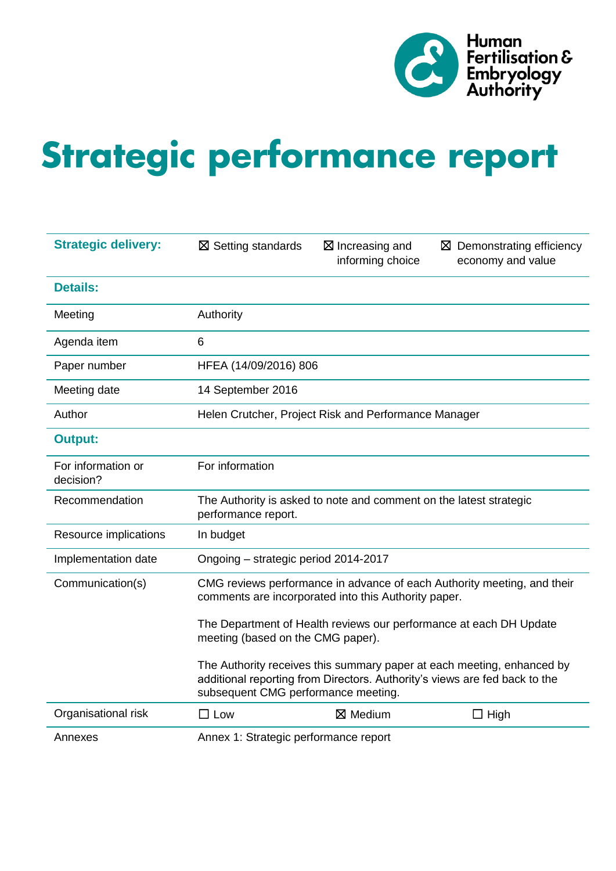

# Strategic performance report

| <b>Strategic delivery:</b>      | $\boxtimes$ Setting standards                                                             | $\boxtimes$ Increasing and<br>informing choice       | $\boxtimes$ Demonstrating efficiency<br>economy and value                                                                                            |  |  |  |  |  |  |
|---------------------------------|-------------------------------------------------------------------------------------------|------------------------------------------------------|------------------------------------------------------------------------------------------------------------------------------------------------------|--|--|--|--|--|--|
| <b>Details:</b>                 |                                                                                           |                                                      |                                                                                                                                                      |  |  |  |  |  |  |
| Meeting                         | Authority                                                                                 |                                                      |                                                                                                                                                      |  |  |  |  |  |  |
| Agenda item                     | 6                                                                                         |                                                      |                                                                                                                                                      |  |  |  |  |  |  |
| Paper number                    | HFEA (14/09/2016) 806                                                                     |                                                      |                                                                                                                                                      |  |  |  |  |  |  |
| Meeting date                    | 14 September 2016                                                                         |                                                      |                                                                                                                                                      |  |  |  |  |  |  |
| Author                          |                                                                                           | Helen Crutcher, Project Risk and Performance Manager |                                                                                                                                                      |  |  |  |  |  |  |
| <b>Output:</b>                  |                                                                                           |                                                      |                                                                                                                                                      |  |  |  |  |  |  |
| For information or<br>decision? | For information                                                                           |                                                      |                                                                                                                                                      |  |  |  |  |  |  |
| Recommendation                  | The Authority is asked to note and comment on the latest strategic<br>performance report. |                                                      |                                                                                                                                                      |  |  |  |  |  |  |
| Resource implications           | In budget                                                                                 |                                                      |                                                                                                                                                      |  |  |  |  |  |  |
| Implementation date             | Ongoing - strategic period 2014-2017                                                      |                                                      |                                                                                                                                                      |  |  |  |  |  |  |
| Communication(s)                |                                                                                           | comments are incorporated into this Authority paper. | CMG reviews performance in advance of each Authority meeting, and their                                                                              |  |  |  |  |  |  |
|                                 | meeting (based on the CMG paper).                                                         |                                                      | The Department of Health reviews our performance at each DH Update                                                                                   |  |  |  |  |  |  |
|                                 | subsequent CMG performance meeting.                                                       |                                                      | The Authority receives this summary paper at each meeting, enhanced by<br>additional reporting from Directors. Authority's views are fed back to the |  |  |  |  |  |  |
| Organisational risk             | $\square$ Low                                                                             | $\boxtimes$ Medium                                   | $\Box$ High                                                                                                                                          |  |  |  |  |  |  |
| Annexes                         | Annex 1: Strategic performance report                                                     |                                                      |                                                                                                                                                      |  |  |  |  |  |  |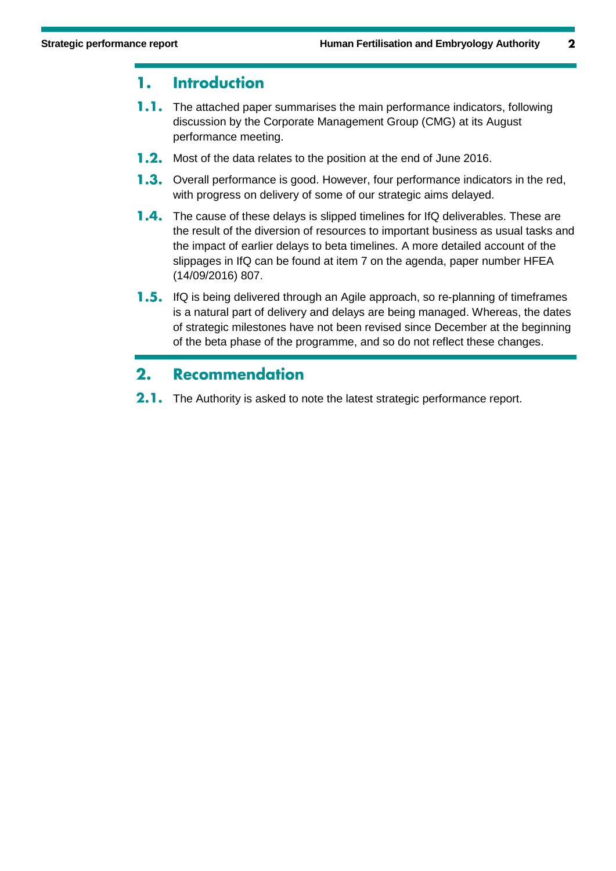#### **Introduction** 1.

- 1.1. The attached paper summarises the main performance indicators, following discussion by the Corporate Management Group (CMG) at its August performance meeting.
- 1.2. Most of the data relates to the position at the end of June 2016.
- 1.3. Overall performance is good. However, four performance indicators in the red, with progress on delivery of some of our strategic aims delayed.
- **1.4.** The cause of these delays is slipped timelines for IfQ deliverables. These are the result of the diversion of resources to important business as usual tasks and the impact of earlier delays to beta timelines. A more detailed account of the slippages in IfQ can be found at item 7 on the agenda, paper number HFEA (14/09/2016) 807.
- **1.5.** IfQ is being delivered through an Agile approach, so re-planning of timeframes is a natural part of delivery and delays are being managed. Whereas, the dates of strategic milestones have not been revised since December at the beginning of the beta phase of the programme, and so do not reflect these changes.

#### $2.$ **Recommendation**

2.1. The Authority is asked to note the latest strategic performance report.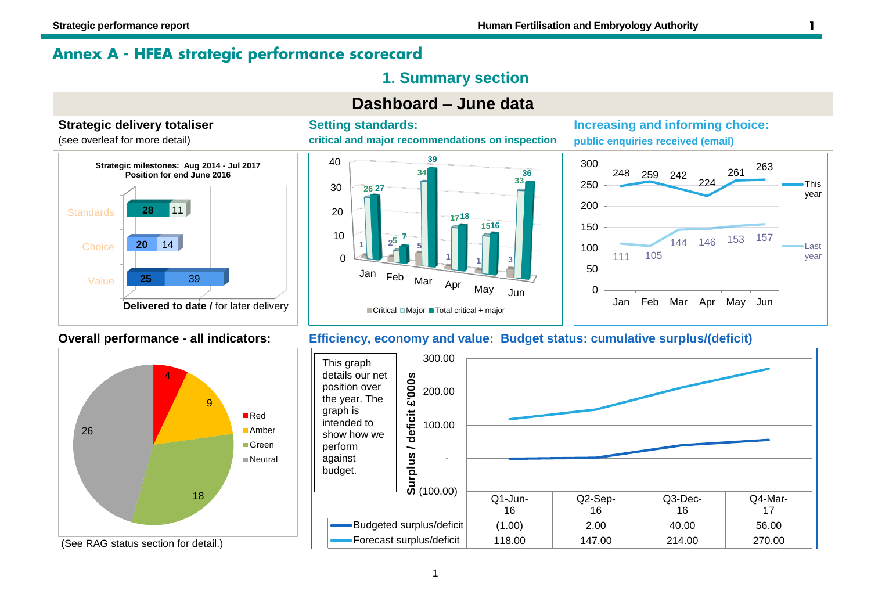# Annex A - HFEA strategic performance scorecard

# **1. Summary section**



![](_page_2_Figure_6.jpeg)

![](_page_2_Figure_7.jpeg)

![](_page_2_Figure_8.jpeg)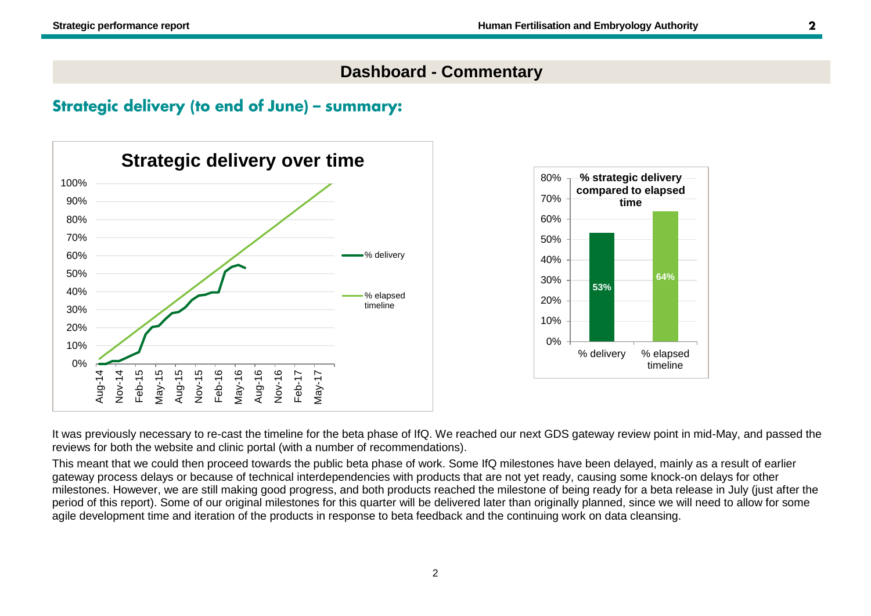# **Dashboard - Commentary**

# **Strategic delivery (to end of June) - summary:**

![](_page_3_Figure_4.jpeg)

![](_page_3_Figure_5.jpeg)

It was previously necessary to re-cast the timeline for the beta phase of IfQ. We reached our next GDS gateway review point in mid-May, and passed the reviews for both the website and clinic portal (with a number of recommendations).

This meant that we could then proceed towards the public beta phase of work. Some IfQ milestones have been delayed, mainly as a result of earlier gateway process delays or because of technical interdependencies with products that are not yet ready, causing some knock-on delays for other milestones. However, we are still making good progress, and both products reached the milestone of being ready for a beta release in July (just after the period of this report). Some of our original milestones for this quarter will be delivered later than originally planned, since we will need to allow for some agile development time and iteration of the products in response to beta feedback and the continuing work on data cleansing.

 $\mathbf{2}$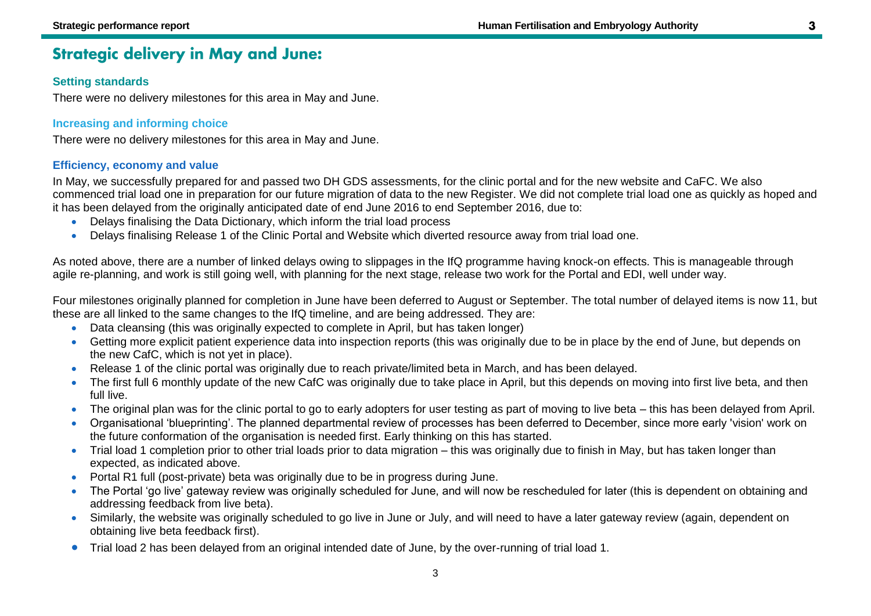# **Strategic delivery in May and June:**

#### **Setting standards**

There were no delivery milestones for this area in May and June.

#### **Increasing and informing choice**

There were no delivery milestones for this area in May and June.

#### **Efficiency, economy and value**

In May, we successfully prepared for and passed two DH GDS assessments, for the clinic portal and for the new website and CaFC. We also commenced trial load one in preparation for our future migration of data to the new Register. We did not complete trial load one as quickly as hoped and it has been delayed from the originally anticipated date of end June 2016 to end September 2016, due to:

- Delays finalising the Data Dictionary, which inform the trial load process
- Delays finalising Release 1 of the Clinic Portal and Website which diverted resource away from trial load one.

As noted above, there are a number of linked delays owing to slippages in the IfQ programme having knock-on effects. This is manageable through agile re-planning, and work is still going well, with planning for the next stage, release two work for the Portal and EDI, well under way.

Four milestones originally planned for completion in June have been deferred to August or September. The total number of delayed items is now 11, but these are all linked to the same changes to the IfQ timeline, and are being addressed. They are:

- Data cleansing (this was originally expected to complete in April, but has taken longer)
- Getting more explicit patient experience data into inspection reports (this was originally due to be in place by the end of June, but depends on the new CafC, which is not yet in place).
- Release 1 of the clinic portal was originally due to reach private/limited beta in March, and has been delayed.
- The first full 6 monthly update of the new CafC was originally due to take place in April, but this depends on moving into first live beta, and then full live.
- The original plan was for the clinic portal to go to early adopters for user testing as part of moving to live beta this has been delayed from April.
- Organisational 'blueprinting'. The planned departmental review of processes has been deferred to December, since more early 'vision' work on the future conformation of the organisation is needed first. Early thinking on this has started.
- Trial load 1 completion prior to other trial loads prior to data migration this was originally due to finish in May, but has taken longer than expected, as indicated above.
- Portal R1 full (post-private) beta was originally due to be in progress during June.
- The Portal 'go live' gateway review was originally scheduled for June, and will now be rescheduled for later (this is dependent on obtaining and addressing feedback from live beta).
- Similarly, the website was originally scheduled to go live in June or July, and will need to have a later gateway review (again, dependent on obtaining live beta feedback first).
- Trial load 2 has been delayed from an original intended date of June, by the over-running of trial load 1.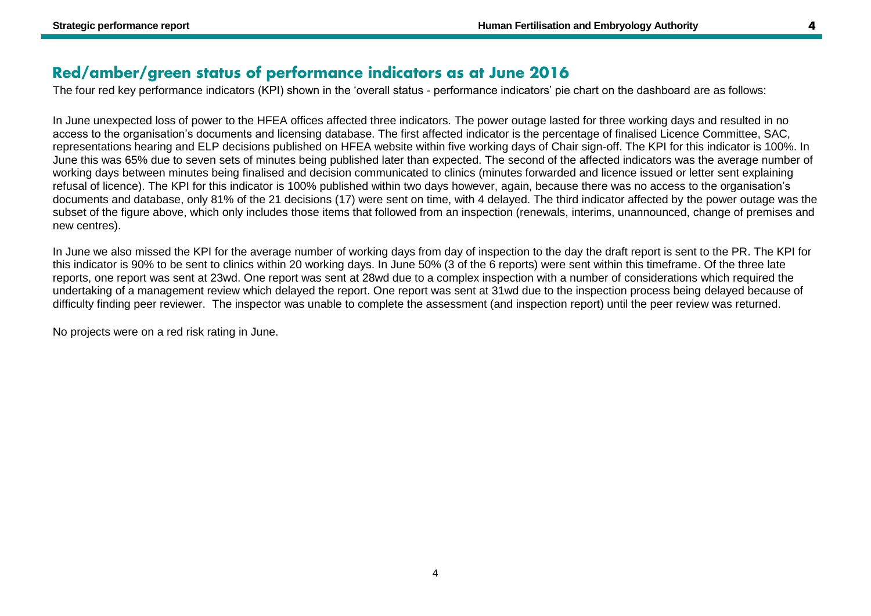# Red/amber/green status of performance indicators as at June 2016

The four red key performance indicators (KPI) shown in the 'overall status - performance indicators' pie chart on the dashboard are as follows:

In June unexpected loss of power to the HFEA offices affected three indicators. The power outage lasted for three working days and resulted in no access to the organisation's documents and licensing database. The first affected indicator is the percentage of finalised Licence Committee, SAC, representations hearing and ELP decisions published on HFEA website within five working days of Chair sign-off. The KPI for this indicator is 100%. In June this was 65% due to seven sets of minutes being published later than expected. The second of the affected indicators was the average number of working days between minutes being finalised and decision communicated to clinics (minutes forwarded and licence issued or letter sent explaining refusal of licence). The KPI for this indicator is 100% published within two days however, again, because there was no access to the organisation's documents and database, only 81% of the 21 decisions (17) were sent on time, with 4 delayed. The third indicator affected by the power outage was the subset of the figure above, which only includes those items that followed from an inspection (renewals, interims, unannounced, change of premises and new centres).

In June we also missed the KPI for the average number of working days from day of inspection to the day the draft report is sent to the PR. The KPI for this indicator is 90% to be sent to clinics within 20 working days. In June 50% (3 of the 6 reports) were sent within this timeframe. Of the three late reports, one report was sent at 23wd. One report was sent at 28wd due to a complex inspection with a number of considerations which required the undertaking of a management review which delayed the report. One report was sent at 31wd due to the inspection process being delayed because of difficulty finding peer reviewer. The inspector was unable to complete the assessment (and inspection report) until the peer review was returned.

No projects were on a red risk rating in June.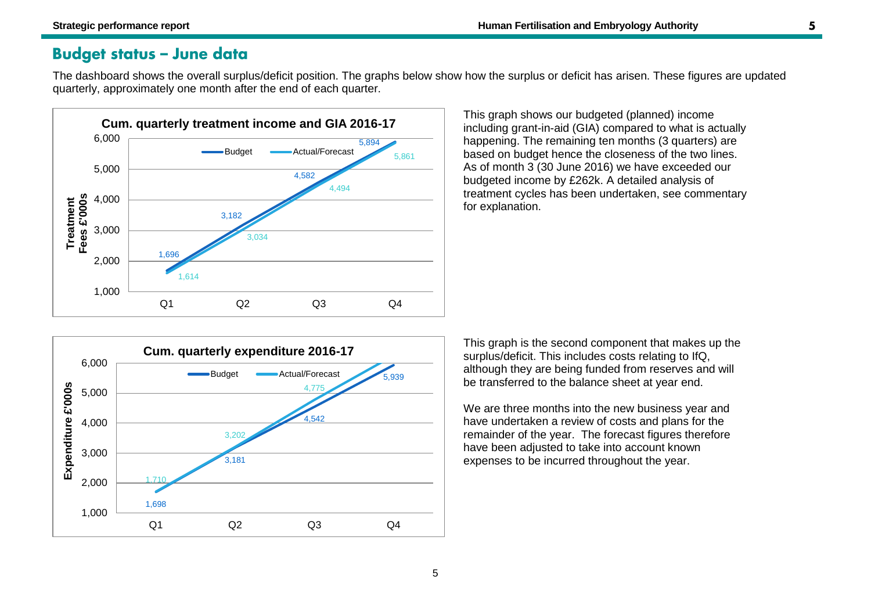# **Budget status - June data**

The dashboard shows the overall surplus/deficit position. The graphs below show how the surplus or deficit has arisen. These figures are updated quarterly, approximately one month after the end of each quarter.

![](_page_6_Figure_4.jpeg)

This graph shows our budgeted (planned) income including grant-in-aid (GIA) compared to what is actually happening. The remaining ten months (3 quarters) are based on budget hence the closeness of the two lines. As of month 3 (30 June 2016) we have exceeded our budgeted income by £262k. A detailed analysis of treatment cycles has been undertaken, see commentary for explanation.

![](_page_6_Figure_6.jpeg)

This graph is the second component that makes up the surplus/deficit. This includes costs relating to IfQ, although they are being funded from reserves and will be transferred to the balance sheet at year end.

We are three months into the new business year and have undertaken a review of costs and plans for the remainder of the year. The forecast figures therefore have been adjusted to take into account known expenses to be incurred throughout the year.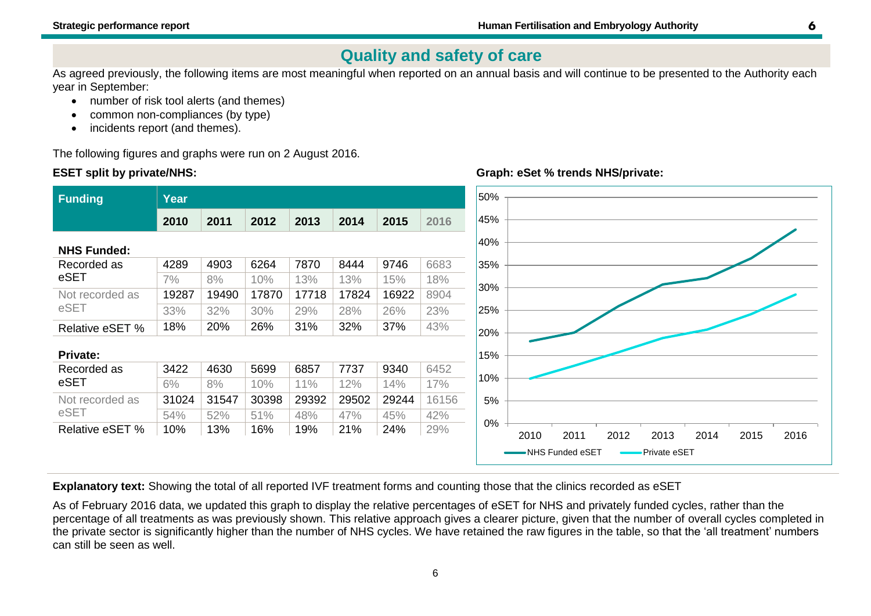**Graph: eSet % trends NHS/private:**

# **Quality and safety of care**

As agreed previously, the following items are most meaningful when reported on an annual basis and will continue to be presented to the Authority each year in September:

- number of risk tool alerts (and themes)
- common non-compliances (by type)
- incidents report (and themes).

The following figures and graphs were run on 2 August 2016.

#### **ESET split by private/NHS:**

![](_page_7_Figure_9.jpeg)

**Explanatory text:** Showing the total of all reported IVF treatment forms and counting those that the clinics recorded as eSET

As of February 2016 data, we updated this graph to display the relative percentages of eSET for NHS and privately funded cycles, rather than the percentage of all treatments as was previously shown. This relative approach gives a clearer picture, given that the number of overall cycles completed in the private sector is significantly higher than the number of NHS cycles. We have retained the raw figures in the table, so that the 'all treatment' numbers can still be seen as well.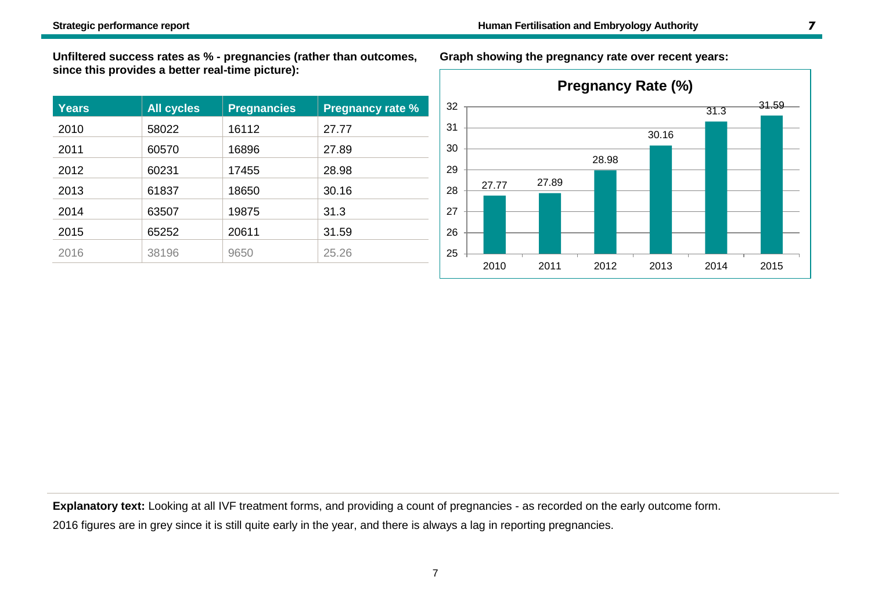**Unfiltered success rates as % - pregnancies (rather than outcomes, since this provides a better real-time picture):**

| <b>Years</b> | <b>All cycles</b> | <b>Pregnancies</b> | <b>Pregnancy rate %</b> |
|--------------|-------------------|--------------------|-------------------------|
| 2010         | 58022             | 16112              | 27.77                   |
| 2011         | 60570             | 16896              | 27.89                   |
| 2012         | 60231             | 17455              | 28.98                   |
| 2013         | 61837             | 18650              | 30.16                   |
| 2014         | 63507             | 19875              | 31.3                    |
| 2015         | 65252             | 20611              | 31.59                   |
| 2016         | 38196             | 9650               | 25.26                   |

**Graph showing the pregnancy rate over recent years:**

![](_page_8_Figure_5.jpeg)

**Explanatory text:** Looking at all IVF treatment forms, and providing a count of pregnancies - as recorded on the early outcome form.

2016 figures are in grey since it is still quite early in the year, and there is always a lag in reporting pregnancies.

 $\overline{ }$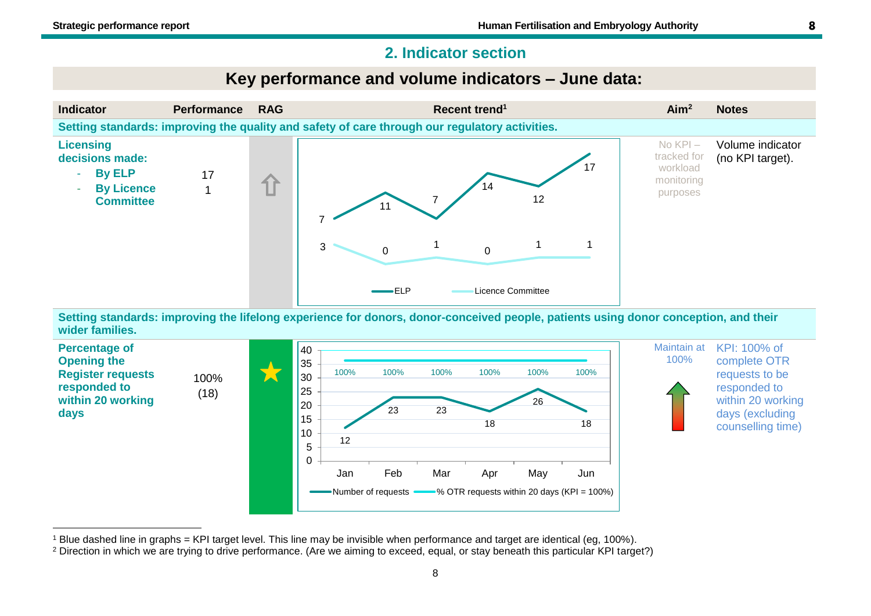#### **2. Indicator section**

# **Key performance and volume indicators – June data:**

![](_page_9_Figure_4.jpeg)

**Setting standards: improving the lifelong experience for donors, donor-conceived people, patients using donor conception, and their wider families.**

![](_page_9_Figure_6.jpeg)

<sup>1</sup> Blue dashed line in graphs = KPI target level. This line may be invisible when performance and target are identical (eg, 100%).

8

<sup>&</sup>lt;sup>2</sup> Direction in which we are trying to drive performance. (Are we aiming to exceed, equal, or stay beneath this particular KPI target?)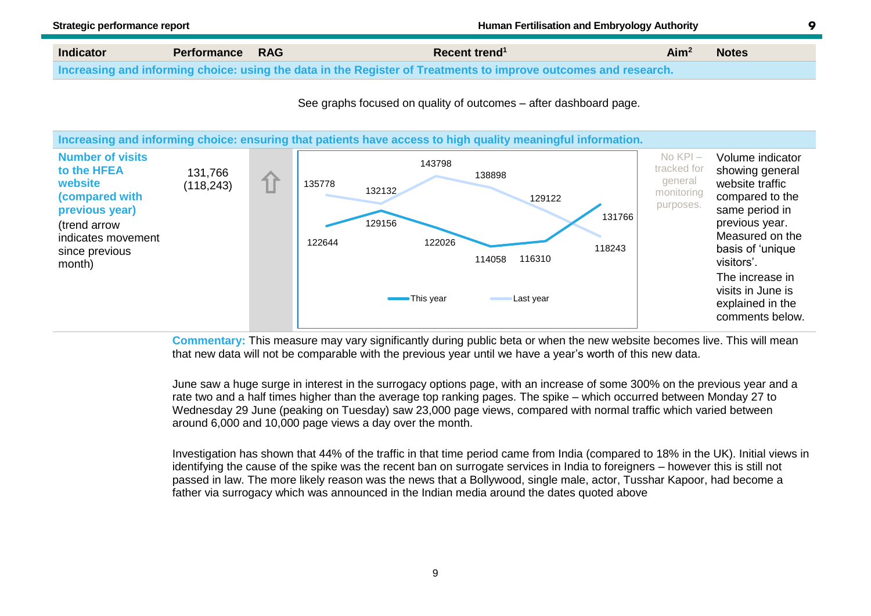**Indicator Performance RAG Recent trend<sup>1</sup> Aim<sup>2</sup> Notes Increasing and informing choice: using the data in the Register of Treatments to improve outcomes and research.**

See graphs focused on quality of outcomes – after dashboard page.

![](_page_10_Figure_4.jpeg)

**Commentary:** This measure may vary significantly during public beta or when the new website becomes live. This will mean that new data will not be comparable with the previous year until we have a year's worth of this new data.

June saw a huge surge in interest in the surrogacy options page, with an increase of some 300% on the previous year and a rate two and a half times higher than the average top ranking pages. The spike – which occurred between Monday 27 to Wednesday 29 June (peaking on Tuesday) saw 23,000 page views, compared with normal traffic which varied between around 6,000 and 10,000 page views a day over the month.

Investigation has shown that 44% of the traffic in that time period came from India (compared to 18% in the UK). Initial views in identifying the cause of the spike was the recent ban on surrogate services in India to foreigners – however this is still not passed in law. The more likely reason was the news that a Bollywood, single male, actor, Tusshar Kapoor, had become a father via surrogacy which was announced in the Indian media around the dates quoted above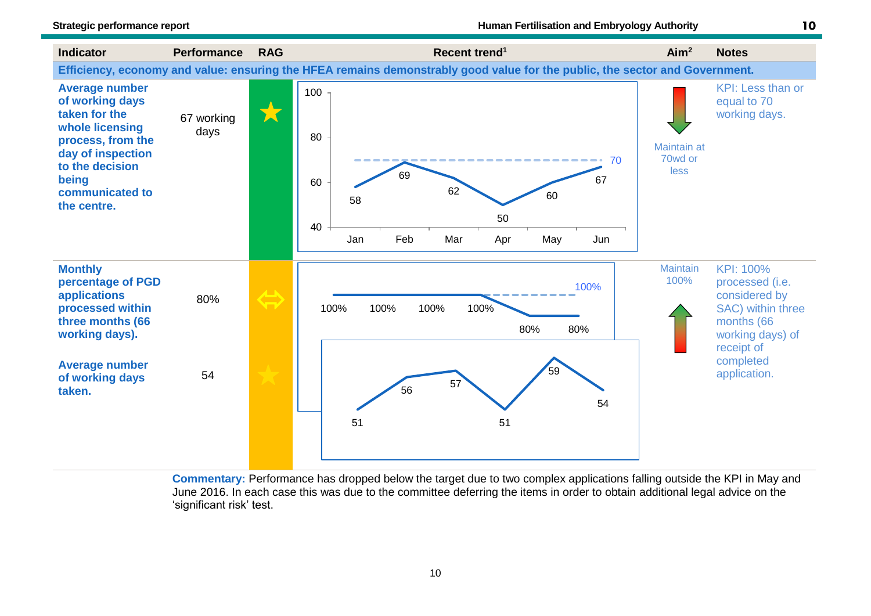![](_page_11_Figure_3.jpeg)

**Commentary:** Performance has dropped below the target due to two complex applications falling outside the KPI in May and June 2016. In each case this was due to the committee deferring the items in order to obtain additional legal advice on the 'significant risk' test.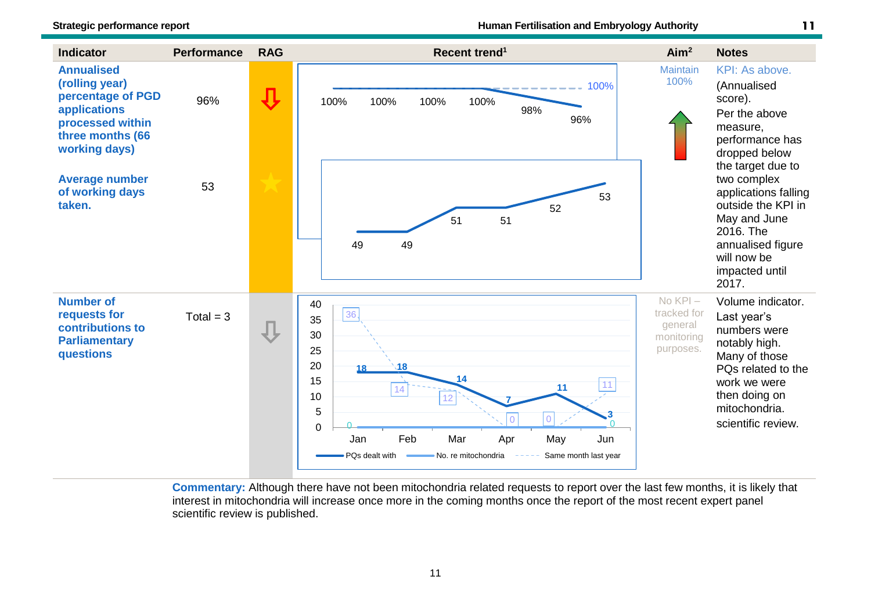![](_page_12_Figure_2.jpeg)

**Commentary:** Although there have not been mitochondria related requests to report over the last few months, it is likely that interest in mitochondria will increase once more in the coming months once the report of the most recent expert panel scientific review is published.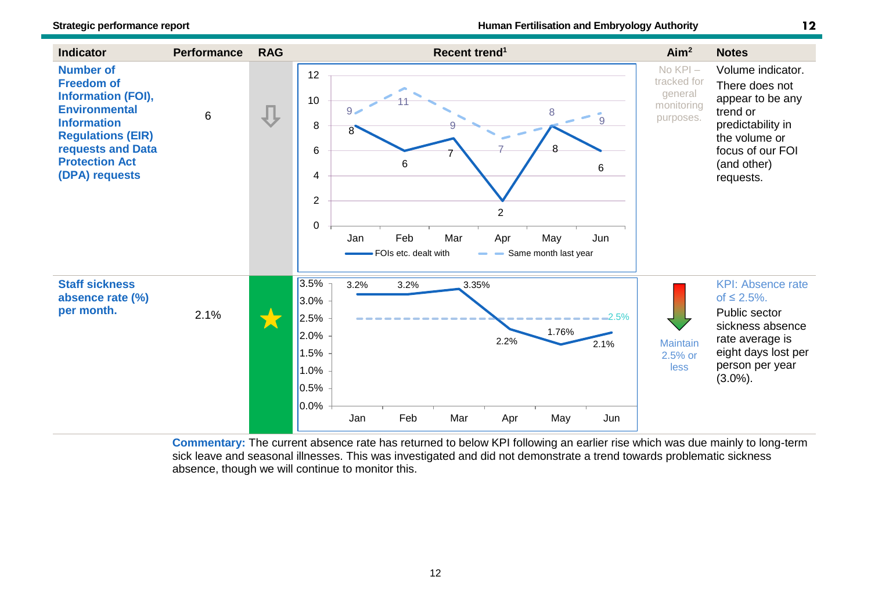![](_page_13_Figure_2.jpeg)

**Commentary:** The current absence rate has returned to below KPI following an earlier rise which was due mainly to long-term sick leave and seasonal illnesses. This was investigated and did not demonstrate a trend towards problematic sickness absence, though we will continue to monitor this.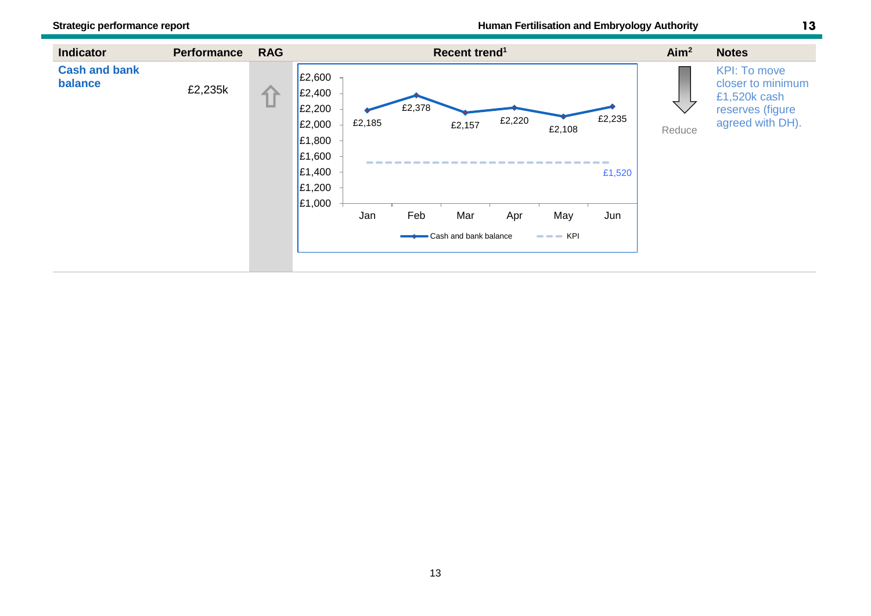![](_page_14_Figure_2.jpeg)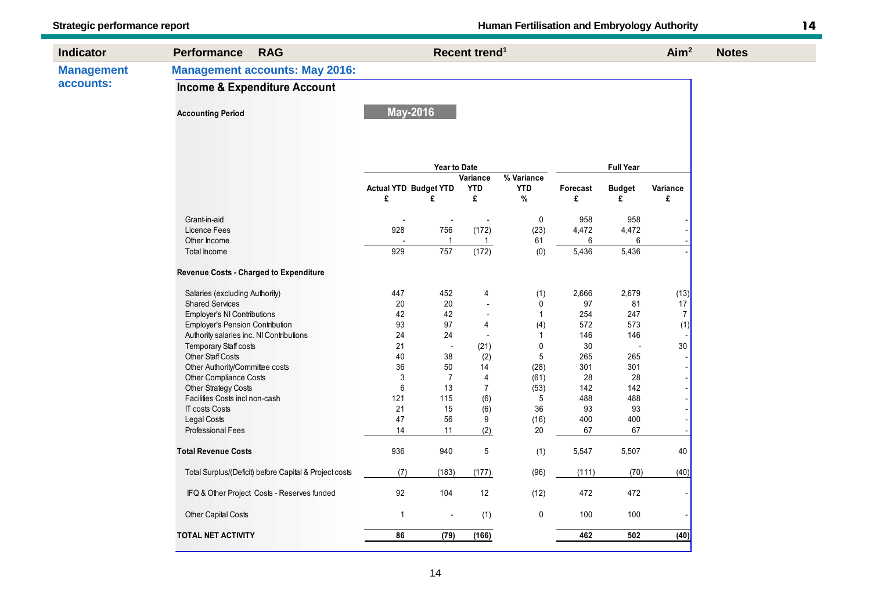| <b>Management accounts: May 2016:</b><br><b>Management</b><br>accounts:<br><b>Income &amp; Expenditure Account</b><br><b>May-2016</b><br><b>Accounting Period</b><br><b>Full Year</b><br><b>Year to Date</b><br>$\sqrt[3]{8}$ Variance<br>Variance<br><b>Actual YTD Budget YTD</b><br><b>YTD</b><br><b>YTD</b><br>Forecast<br><b>Budget</b><br>Variance<br>$\%$<br>£<br>£<br>£<br>£<br>£<br>£<br>Grant-in-aid<br>958<br>958<br>0<br>$\blacksquare$<br>$\overline{\phantom{a}}$<br>928<br>756<br>(172)<br>4,472<br>Licence Fees<br>(23)<br>4,472<br>Other Income<br>$\overline{1}$<br>61<br>6<br>6<br>$\mathbf{1}$<br>757<br>(172)<br>5,436<br>929<br>5,436<br>Total Income<br>(0)<br>Revenue Costs - Charged to Expenditure<br>452<br>2,679<br>447<br>(1)<br>2,666<br>(13)<br>Salaries (excluding Authority)<br>4<br>20<br>97<br>17<br><b>Shared Services</b><br>20<br>0<br>81<br>$\overline{a}$<br>$\boldsymbol{7}$<br>Employer's NI Contributions<br>42<br>42<br>254<br>$\mathbf{1}$<br>247<br>÷,<br>93<br>97<br>(1)<br>Employer's Pension Contribution<br>(4)<br>572<br>573<br>4<br>24<br>24<br>146<br>146<br>Authority salaries inc. NI Contributions<br>-1<br>$\overline{a}$<br>$30\,$<br>Temporary Staff costs<br>21<br>$\mathbf 0$<br>30<br>(21)<br>$\overline{a}$<br>$\blacksquare$<br><b>Other Staff Costs</b><br>40<br>38<br>5<br>265<br>(2)<br>265<br>50<br>Other Authority/Committee costs<br>36<br>14<br>(28)<br>301<br>301<br>3<br>$\overline{7}$<br>28<br>Other Compliance Costs<br>4<br>(61)<br>28<br>$\,6$<br>13<br>$\overline{7}$<br>142<br>142<br>Other Strategy Costs<br>(53)<br>115<br>(6)<br>Facilities Costs incl non-cash<br>121<br>5<br>488<br>488<br>21<br>15<br>93<br>93<br><b>IT costs Costs</b><br>(6)<br>36<br>Legal Costs<br>47<br>56<br>9<br>400<br>400<br>(16)<br><b>Professional Fees</b><br>14<br>11<br>(2)<br>20<br>67<br>67<br>936<br>940<br>5<br>40<br><b>Total Revenue Costs</b><br>(1)<br>5,547<br>5,507<br>(96)<br>(70)<br>Total Surplus/(Deficit) before Capital & Project costs<br>(7)<br>(183)<br>(177)<br>(111)<br>92<br>104<br>12<br>472<br>IFQ & Other Project Costs - Reserves funded<br>(12)<br>472<br>$\overline{1}$<br>(1)<br>$\pmb{0}$<br>Other Capital Costs<br>100<br>100 | <b>Indicator</b> | <b>Performance</b><br><b>RAG</b> |  |      | Recent trend <sup>1</sup> |  |     |     | Aim <sup>2</sup> | <b>Notes</b> |  |  |  |
|---------------------------------------------------------------------------------------------------------------------------------------------------------------------------------------------------------------------------------------------------------------------------------------------------------------------------------------------------------------------------------------------------------------------------------------------------------------------------------------------------------------------------------------------------------------------------------------------------------------------------------------------------------------------------------------------------------------------------------------------------------------------------------------------------------------------------------------------------------------------------------------------------------------------------------------------------------------------------------------------------------------------------------------------------------------------------------------------------------------------------------------------------------------------------------------------------------------------------------------------------------------------------------------------------------------------------------------------------------------------------------------------------------------------------------------------------------------------------------------------------------------------------------------------------------------------------------------------------------------------------------------------------------------------------------------------------------------------------------------------------------------------------------------------------------------------------------------------------------------------------------------------------------------------------------------------------------------------------------------------------------------------------------------------------------------------------------------------------------------------------------------------------------------------------------------------------------------------------------|------------------|----------------------------------|--|------|---------------------------|--|-----|-----|------------------|--------------|--|--|--|
|                                                                                                                                                                                                                                                                                                                                                                                                                                                                                                                                                                                                                                                                                                                                                                                                                                                                                                                                                                                                                                                                                                                                                                                                                                                                                                                                                                                                                                                                                                                                                                                                                                                                                                                                                                                                                                                                                                                                                                                                                                                                                                                                                                                                                                 |                  |                                  |  |      |                           |  |     |     |                  |              |  |  |  |
|                                                                                                                                                                                                                                                                                                                                                                                                                                                                                                                                                                                                                                                                                                                                                                                                                                                                                                                                                                                                                                                                                                                                                                                                                                                                                                                                                                                                                                                                                                                                                                                                                                                                                                                                                                                                                                                                                                                                                                                                                                                                                                                                                                                                                                 |                  |                                  |  |      |                           |  |     |     |                  |              |  |  |  |
|                                                                                                                                                                                                                                                                                                                                                                                                                                                                                                                                                                                                                                                                                                                                                                                                                                                                                                                                                                                                                                                                                                                                                                                                                                                                                                                                                                                                                                                                                                                                                                                                                                                                                                                                                                                                                                                                                                                                                                                                                                                                                                                                                                                                                                 |                  |                                  |  |      |                           |  |     |     |                  |              |  |  |  |
|                                                                                                                                                                                                                                                                                                                                                                                                                                                                                                                                                                                                                                                                                                                                                                                                                                                                                                                                                                                                                                                                                                                                                                                                                                                                                                                                                                                                                                                                                                                                                                                                                                                                                                                                                                                                                                                                                                                                                                                                                                                                                                                                                                                                                                 |                  |                                  |  |      |                           |  |     |     |                  |              |  |  |  |
|                                                                                                                                                                                                                                                                                                                                                                                                                                                                                                                                                                                                                                                                                                                                                                                                                                                                                                                                                                                                                                                                                                                                                                                                                                                                                                                                                                                                                                                                                                                                                                                                                                                                                                                                                                                                                                                                                                                                                                                                                                                                                                                                                                                                                                 |                  |                                  |  |      |                           |  |     |     |                  |              |  |  |  |
|                                                                                                                                                                                                                                                                                                                                                                                                                                                                                                                                                                                                                                                                                                                                                                                                                                                                                                                                                                                                                                                                                                                                                                                                                                                                                                                                                                                                                                                                                                                                                                                                                                                                                                                                                                                                                                                                                                                                                                                                                                                                                                                                                                                                                                 |                  |                                  |  |      |                           |  |     |     |                  |              |  |  |  |
|                                                                                                                                                                                                                                                                                                                                                                                                                                                                                                                                                                                                                                                                                                                                                                                                                                                                                                                                                                                                                                                                                                                                                                                                                                                                                                                                                                                                                                                                                                                                                                                                                                                                                                                                                                                                                                                                                                                                                                                                                                                                                                                                                                                                                                 |                  |                                  |  |      |                           |  |     |     |                  |              |  |  |  |
|                                                                                                                                                                                                                                                                                                                                                                                                                                                                                                                                                                                                                                                                                                                                                                                                                                                                                                                                                                                                                                                                                                                                                                                                                                                                                                                                                                                                                                                                                                                                                                                                                                                                                                                                                                                                                                                                                                                                                                                                                                                                                                                                                                                                                                 |                  |                                  |  |      |                           |  |     |     |                  |              |  |  |  |
|                                                                                                                                                                                                                                                                                                                                                                                                                                                                                                                                                                                                                                                                                                                                                                                                                                                                                                                                                                                                                                                                                                                                                                                                                                                                                                                                                                                                                                                                                                                                                                                                                                                                                                                                                                                                                                                                                                                                                                                                                                                                                                                                                                                                                                 |                  |                                  |  |      |                           |  |     |     |                  |              |  |  |  |
|                                                                                                                                                                                                                                                                                                                                                                                                                                                                                                                                                                                                                                                                                                                                                                                                                                                                                                                                                                                                                                                                                                                                                                                                                                                                                                                                                                                                                                                                                                                                                                                                                                                                                                                                                                                                                                                                                                                                                                                                                                                                                                                                                                                                                                 |                  |                                  |  |      |                           |  |     |     |                  |              |  |  |  |
|                                                                                                                                                                                                                                                                                                                                                                                                                                                                                                                                                                                                                                                                                                                                                                                                                                                                                                                                                                                                                                                                                                                                                                                                                                                                                                                                                                                                                                                                                                                                                                                                                                                                                                                                                                                                                                                                                                                                                                                                                                                                                                                                                                                                                                 |                  |                                  |  |      |                           |  |     |     |                  |              |  |  |  |
|                                                                                                                                                                                                                                                                                                                                                                                                                                                                                                                                                                                                                                                                                                                                                                                                                                                                                                                                                                                                                                                                                                                                                                                                                                                                                                                                                                                                                                                                                                                                                                                                                                                                                                                                                                                                                                                                                                                                                                                                                                                                                                                                                                                                                                 |                  |                                  |  |      |                           |  |     |     |                  |              |  |  |  |
|                                                                                                                                                                                                                                                                                                                                                                                                                                                                                                                                                                                                                                                                                                                                                                                                                                                                                                                                                                                                                                                                                                                                                                                                                                                                                                                                                                                                                                                                                                                                                                                                                                                                                                                                                                                                                                                                                                                                                                                                                                                                                                                                                                                                                                 |                  |                                  |  |      |                           |  |     |     |                  |              |  |  |  |
|                                                                                                                                                                                                                                                                                                                                                                                                                                                                                                                                                                                                                                                                                                                                                                                                                                                                                                                                                                                                                                                                                                                                                                                                                                                                                                                                                                                                                                                                                                                                                                                                                                                                                                                                                                                                                                                                                                                                                                                                                                                                                                                                                                                                                                 |                  |                                  |  |      |                           |  |     |     |                  |              |  |  |  |
|                                                                                                                                                                                                                                                                                                                                                                                                                                                                                                                                                                                                                                                                                                                                                                                                                                                                                                                                                                                                                                                                                                                                                                                                                                                                                                                                                                                                                                                                                                                                                                                                                                                                                                                                                                                                                                                                                                                                                                                                                                                                                                                                                                                                                                 |                  |                                  |  |      |                           |  |     |     |                  |              |  |  |  |
|                                                                                                                                                                                                                                                                                                                                                                                                                                                                                                                                                                                                                                                                                                                                                                                                                                                                                                                                                                                                                                                                                                                                                                                                                                                                                                                                                                                                                                                                                                                                                                                                                                                                                                                                                                                                                                                                                                                                                                                                                                                                                                                                                                                                                                 |                  |                                  |  |      |                           |  |     |     |                  |              |  |  |  |
|                                                                                                                                                                                                                                                                                                                                                                                                                                                                                                                                                                                                                                                                                                                                                                                                                                                                                                                                                                                                                                                                                                                                                                                                                                                                                                                                                                                                                                                                                                                                                                                                                                                                                                                                                                                                                                                                                                                                                                                                                                                                                                                                                                                                                                 |                  |                                  |  |      |                           |  |     |     |                  |              |  |  |  |
|                                                                                                                                                                                                                                                                                                                                                                                                                                                                                                                                                                                                                                                                                                                                                                                                                                                                                                                                                                                                                                                                                                                                                                                                                                                                                                                                                                                                                                                                                                                                                                                                                                                                                                                                                                                                                                                                                                                                                                                                                                                                                                                                                                                                                                 |                  |                                  |  |      |                           |  |     |     |                  |              |  |  |  |
|                                                                                                                                                                                                                                                                                                                                                                                                                                                                                                                                                                                                                                                                                                                                                                                                                                                                                                                                                                                                                                                                                                                                                                                                                                                                                                                                                                                                                                                                                                                                                                                                                                                                                                                                                                                                                                                                                                                                                                                                                                                                                                                                                                                                                                 |                  |                                  |  |      |                           |  |     |     |                  |              |  |  |  |
|                                                                                                                                                                                                                                                                                                                                                                                                                                                                                                                                                                                                                                                                                                                                                                                                                                                                                                                                                                                                                                                                                                                                                                                                                                                                                                                                                                                                                                                                                                                                                                                                                                                                                                                                                                                                                                                                                                                                                                                                                                                                                                                                                                                                                                 |                  |                                  |  |      |                           |  |     |     |                  |              |  |  |  |
|                                                                                                                                                                                                                                                                                                                                                                                                                                                                                                                                                                                                                                                                                                                                                                                                                                                                                                                                                                                                                                                                                                                                                                                                                                                                                                                                                                                                                                                                                                                                                                                                                                                                                                                                                                                                                                                                                                                                                                                                                                                                                                                                                                                                                                 |                  |                                  |  |      |                           |  |     |     |                  |              |  |  |  |
|                                                                                                                                                                                                                                                                                                                                                                                                                                                                                                                                                                                                                                                                                                                                                                                                                                                                                                                                                                                                                                                                                                                                                                                                                                                                                                                                                                                                                                                                                                                                                                                                                                                                                                                                                                                                                                                                                                                                                                                                                                                                                                                                                                                                                                 |                  |                                  |  |      |                           |  |     |     |                  |              |  |  |  |
|                                                                                                                                                                                                                                                                                                                                                                                                                                                                                                                                                                                                                                                                                                                                                                                                                                                                                                                                                                                                                                                                                                                                                                                                                                                                                                                                                                                                                                                                                                                                                                                                                                                                                                                                                                                                                                                                                                                                                                                                                                                                                                                                                                                                                                 |                  |                                  |  |      |                           |  |     |     |                  |              |  |  |  |
|                                                                                                                                                                                                                                                                                                                                                                                                                                                                                                                                                                                                                                                                                                                                                                                                                                                                                                                                                                                                                                                                                                                                                                                                                                                                                                                                                                                                                                                                                                                                                                                                                                                                                                                                                                                                                                                                                                                                                                                                                                                                                                                                                                                                                                 |                  |                                  |  |      |                           |  |     |     |                  |              |  |  |  |
|                                                                                                                                                                                                                                                                                                                                                                                                                                                                                                                                                                                                                                                                                                                                                                                                                                                                                                                                                                                                                                                                                                                                                                                                                                                                                                                                                                                                                                                                                                                                                                                                                                                                                                                                                                                                                                                                                                                                                                                                                                                                                                                                                                                                                                 |                  |                                  |  |      |                           |  |     |     |                  |              |  |  |  |
|                                                                                                                                                                                                                                                                                                                                                                                                                                                                                                                                                                                                                                                                                                                                                                                                                                                                                                                                                                                                                                                                                                                                                                                                                                                                                                                                                                                                                                                                                                                                                                                                                                                                                                                                                                                                                                                                                                                                                                                                                                                                                                                                                                                                                                 |                  |                                  |  |      |                           |  |     |     |                  |              |  |  |  |
|                                                                                                                                                                                                                                                                                                                                                                                                                                                                                                                                                                                                                                                                                                                                                                                                                                                                                                                                                                                                                                                                                                                                                                                                                                                                                                                                                                                                                                                                                                                                                                                                                                                                                                                                                                                                                                                                                                                                                                                                                                                                                                                                                                                                                                 |                  |                                  |  |      |                           |  |     |     | (40)             |              |  |  |  |
|                                                                                                                                                                                                                                                                                                                                                                                                                                                                                                                                                                                                                                                                                                                                                                                                                                                                                                                                                                                                                                                                                                                                                                                                                                                                                                                                                                                                                                                                                                                                                                                                                                                                                                                                                                                                                                                                                                                                                                                                                                                                                                                                                                                                                                 |                  |                                  |  |      |                           |  |     |     |                  |              |  |  |  |
|                                                                                                                                                                                                                                                                                                                                                                                                                                                                                                                                                                                                                                                                                                                                                                                                                                                                                                                                                                                                                                                                                                                                                                                                                                                                                                                                                                                                                                                                                                                                                                                                                                                                                                                                                                                                                                                                                                                                                                                                                                                                                                                                                                                                                                 |                  |                                  |  |      |                           |  |     |     |                  |              |  |  |  |
| <b>TOTAL NET ACTIVITY</b><br>86                                                                                                                                                                                                                                                                                                                                                                                                                                                                                                                                                                                                                                                                                                                                                                                                                                                                                                                                                                                                                                                                                                                                                                                                                                                                                                                                                                                                                                                                                                                                                                                                                                                                                                                                                                                                                                                                                                                                                                                                                                                                                                                                                                                                 |                  |                                  |  | (79) | (166)                     |  | 462 | 502 | (40)             |              |  |  |  |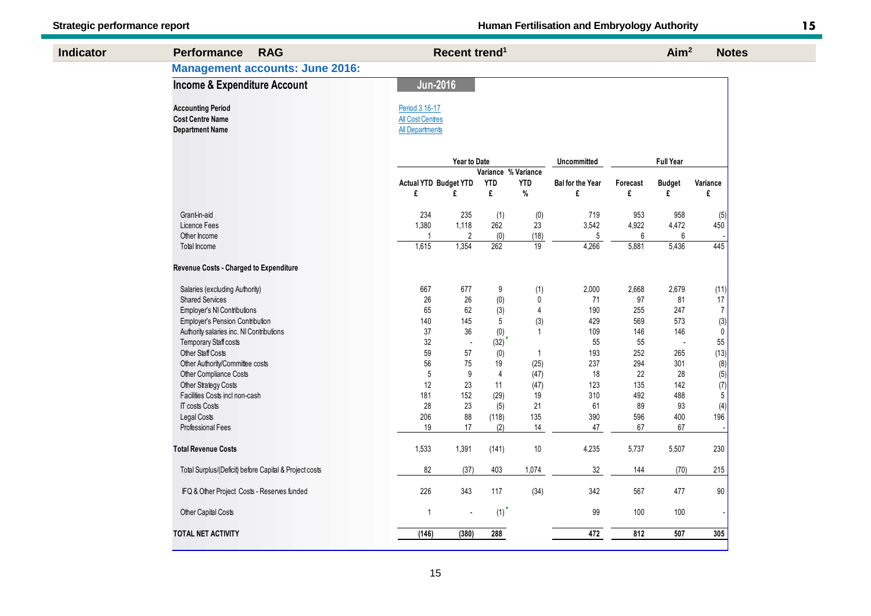| <b>Indicator</b> | <b>Performance</b><br><b>RAG</b>                                              |                                                                     | Recent trend <sup>1</sup> |                     |                |                         |          | Aim <sup>2</sup> | <b>Notes</b>                            |
|------------------|-------------------------------------------------------------------------------|---------------------------------------------------------------------|---------------------------|---------------------|----------------|-------------------------|----------|------------------|-----------------------------------------|
|                  | <b>Management accounts: June 2016:</b>                                        |                                                                     |                           |                     |                |                         |          |                  |                                         |
|                  | <b>Income &amp; Expenditure Account</b>                                       | <b>Jun-2016</b>                                                     |                           |                     |                |                         |          |                  |                                         |
|                  | <b>Accounting Period</b><br><b>Cost Centre Name</b><br><b>Department Name</b> | Period 3 16-17<br><b>All Cost Centres</b><br><b>All Departments</b> |                           |                     |                |                         |          |                  |                                         |
|                  |                                                                               |                                                                     | Year to Date              |                     |                | <b>Uncommitted</b>      |          | <b>Full Year</b> |                                         |
|                  |                                                                               |                                                                     |                           | Variance % Variance |                |                         |          |                  |                                         |
|                  |                                                                               | <b>Actual YTD Budget YTD</b>                                        |                           | <b>YTD</b>          | <b>YTD</b>     | <b>Bal for the Year</b> | Forecast | <b>Budget</b>    | Variance                                |
|                  |                                                                               | £                                                                   | £                         | £                   | $\%$           | £                       | £        | £                | £                                       |
|                  | Grant-in-aid                                                                  | 234                                                                 | 235                       | (1)                 | (0)            | 719                     | 953      | 958              | (5)                                     |
|                  | Licence Fees                                                                  | 1,380                                                               | 1,118                     | 262                 | 23             | 3,542                   | 4,922    | 4,472            | 450                                     |
|                  | Other Income                                                                  | $\overline{1}$                                                      | $\overline{2}$            | (0)                 | (18)           | 5                       | 6        | 6                |                                         |
|                  | Total Income                                                                  | 1,615                                                               | 1,354                     | 262                 | 19             | 4,266                   | 5,881    | 5,436            | 445                                     |
|                  | Revenue Costs - Charged to Expenditure                                        |                                                                     |                           |                     |                |                         |          |                  |                                         |
|                  | Salaries (excluding Authority)                                                | 667                                                                 | 677                       | $\boldsymbol{9}$    | (1)            | 2,000                   | 2,668    | 2,679            | (11)                                    |
|                  | <b>Shared Services</b>                                                        | 26                                                                  | 26                        | (0)                 | 0              | 71                      | 97       | 81               | 17                                      |
|                  | Employer's NI Contributions                                                   | 65                                                                  | 62                        | (3)                 | $\overline{4}$ | 190                     | 255      | 247              | $\overline{7}$                          |
|                  | <b>Employer's Pension Contribution</b>                                        | 140                                                                 | 145                       | 5                   | (3)            | 429                     | 569      | 573              | $\overset{(3)}{0}$                      |
|                  | Authority salaries inc. NI Contributions                                      | 37                                                                  | 36                        | (0)                 | $\overline{1}$ | 109                     | 146      | 146              |                                         |
|                  | <b>Temporary Staff costs</b>                                                  | 32                                                                  | $\overline{a}$            | (32)                |                | 55                      | 55       |                  | 55                                      |
|                  | <b>Other Staff Costs</b>                                                      | 59                                                                  | 57                        | (0)                 | $\mathbf{1}$   | 193                     | 252      | 265              | (13)                                    |
|                  | Other Authority/Committee costs                                               | 56                                                                  | 75                        | 19                  | (25)           | 237                     | 294      | 301              | (8)                                     |
|                  | Other Compliance Costs                                                        | 5                                                                   | 9                         | $\overline{4}$      | (47)           | 18                      | 22       | 28               | (5)                                     |
|                  | Other Strategy Costs                                                          | 12                                                                  | 23                        | 11                  | (47)           | 123                     | 135      | 142              | $\begin{array}{c} (7) \\ 5 \end{array}$ |
|                  | Facilities Costs incl non-cash                                                | 181                                                                 | 152                       | (29)                | 19             | 310                     | 492      | 488              |                                         |
|                  | <b>IT costs Costs</b>                                                         | 28                                                                  | 23                        | (5)                 | 21             | 61                      | 89       | 93               | (4)                                     |
|                  | Legal Costs                                                                   | 206                                                                 | 88                        | (118)               | 135            | 390                     | 596      | 400              | 196                                     |
|                  | <b>Professional Fees</b>                                                      | 19                                                                  | 17                        | (2)                 | 14             | 47                      | 67       | 67               |                                         |
|                  | <b>Total Revenue Costs</b>                                                    | 1,533                                                               | 1,391                     | (141)               | 10             | 4,235                   | 5,737    | 5,507            | 230                                     |
|                  | Total Surplus/(Deficit) before Capital & Project costs                        | 82                                                                  | (37)                      | 403                 | 1,074          | 32                      | 144      | (70)             | 215                                     |
|                  | IFQ & Other Project Costs - Reserves funded                                   | 226                                                                 | 343                       | 117                 | (34)           | 342                     | 567      | 477              | $90\,$                                  |
|                  | Other Capital Costs                                                           | $\mathbf{1}$                                                        | $\overline{\phantom{a}}$  | (1)                 |                | 99                      | 100      | 100              |                                         |
|                  | TOTAL NET ACTIVITY                                                            | (146)                                                               | (380)                     | 288                 |                | 472                     | 812      | 507              | 305                                     |
|                  |                                                                               |                                                                     |                           |                     |                |                         |          |                  |                                         |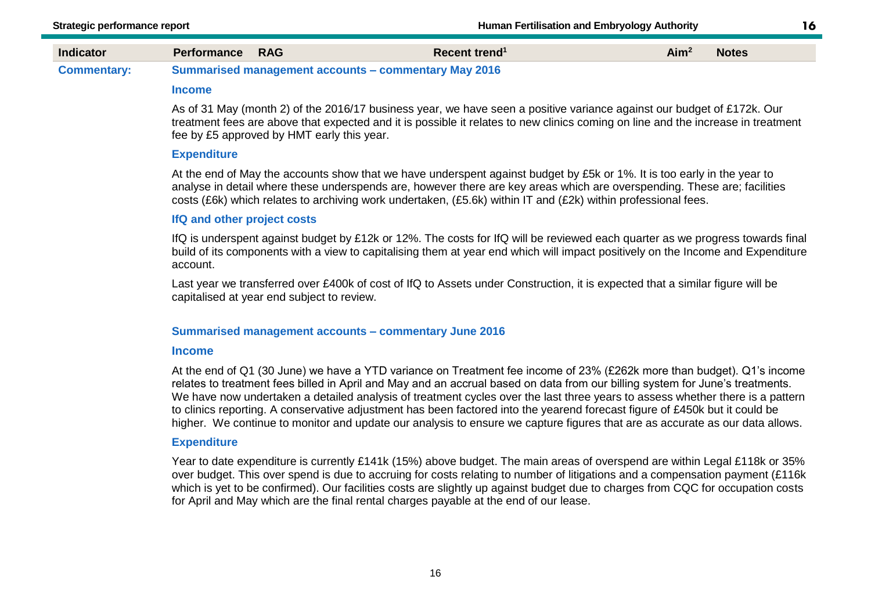16

#### **Commentary: Summarised management accounts – commentary May 2016**

#### **Income**

As of 31 May (month 2) of the 2016/17 business year, we have seen a positive variance against our budget of £172k. Our treatment fees are above that expected and it is possible it relates to new clinics coming on line and the increase in treatment fee by £5 approved by HMT early this year.

#### **Expenditure**

At the end of May the accounts show that we have underspent against budget by £5k or 1%. It is too early in the year to analyse in detail where these underspends are, however there are key areas which are overspending. These are; facilities costs (£6k) which relates to archiving work undertaken, (£5.6k) within IT and (£2k) within professional fees.

#### **IfQ and other project costs**

IfQ is underspent against budget by £12k or 12%. The costs for IfQ will be reviewed each quarter as we progress towards final build of its components with a view to capitalising them at year end which will impact positively on the Income and Expenditure account.

Last year we transferred over £400k of cost of IfQ to Assets under Construction, it is expected that a similar figure will be capitalised at year end subject to review.

#### **Summarised management accounts – commentary June 2016**

#### **Income**

At the end of Q1 (30 June) we have a YTD variance on Treatment fee income of 23% (£262k more than budget). Q1's income relates to treatment fees billed in April and May and an accrual based on data from our billing system for June's treatments. We have now undertaken a detailed analysis of treatment cycles over the last three years to assess whether there is a pattern to clinics reporting. A conservative adjustment has been factored into the yearend forecast figure of £450k but it could be higher. We continue to monitor and update our analysis to ensure we capture figures that are as accurate as our data allows.

#### **Expenditure**

Year to date expenditure is currently £141k (15%) above budget. The main areas of overspend are within Legal £118k or 35% over budget. This over spend is due to accruing for costs relating to number of litigations and a compensation payment (£116k which is yet to be confirmed). Our facilities costs are slightly up against budget due to charges from CQC for occupation costs for April and May which are the final rental charges payable at the end of our lease.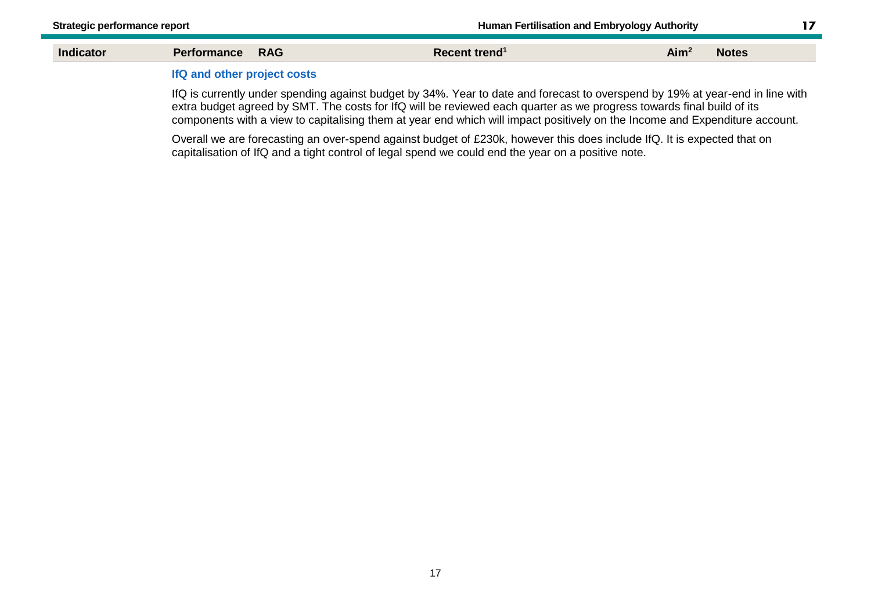$17<sub>2</sub>$ 

| Indicator | <b>RAG</b><br>ormance                                                                       | Recent trend | Aim <sup>2</sup><br><b>Notes</b> |
|-----------|---------------------------------------------------------------------------------------------|--------------|----------------------------------|
|           | $\mathbf{R} \mathbf{C}$ and $\mathbf{C}$ and $\mathbf{C}$ are some function of $\mathbf{C}$ |              |                                  |

#### **IfQ and other project costs**

IfQ is currently under spending against budget by 34%. Year to date and forecast to overspend by 19% at year-end in line with extra budget agreed by SMT. The costs for IfQ will be reviewed each quarter as we progress towards final build of its components with a view to capitalising them at year end which will impact positively on the Income and Expenditure account.

Overall we are forecasting an over-spend against budget of £230k, however this does include IfQ. It is expected that on capitalisation of IfQ and a tight control of legal spend we could end the year on a positive note.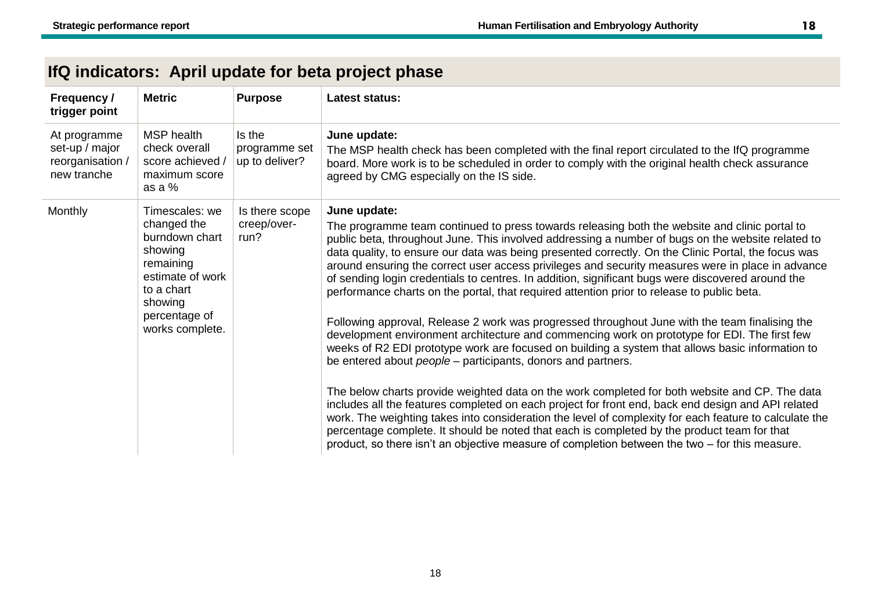| Frequency /<br>trigger point                                      | <b>Metric</b>                                                                                                                                            | <b>Purpose</b>                            | <b>Latest status:</b>                                                                                                                                                                                                                                                                                                                                                                                                                                                                                                                                                                                                                                                                                                                                                                                                                                                                                                                                                                                                                                                                                                                                                                                                                                                                                                                                                                                                                                                                                                               |
|-------------------------------------------------------------------|----------------------------------------------------------------------------------------------------------------------------------------------------------|-------------------------------------------|-------------------------------------------------------------------------------------------------------------------------------------------------------------------------------------------------------------------------------------------------------------------------------------------------------------------------------------------------------------------------------------------------------------------------------------------------------------------------------------------------------------------------------------------------------------------------------------------------------------------------------------------------------------------------------------------------------------------------------------------------------------------------------------------------------------------------------------------------------------------------------------------------------------------------------------------------------------------------------------------------------------------------------------------------------------------------------------------------------------------------------------------------------------------------------------------------------------------------------------------------------------------------------------------------------------------------------------------------------------------------------------------------------------------------------------------------------------------------------------------------------------------------------------|
| At programme<br>set-up / major<br>reorganisation /<br>new tranche | MSP health<br>check overall<br>score achieved /<br>maximum score<br>as a %                                                                               | Is the<br>programme set<br>up to deliver? | June update:<br>The MSP health check has been completed with the final report circulated to the IfQ programme<br>board. More work is to be scheduled in order to comply with the original health check assurance<br>agreed by CMG especially on the IS side.                                                                                                                                                                                                                                                                                                                                                                                                                                                                                                                                                                                                                                                                                                                                                                                                                                                                                                                                                                                                                                                                                                                                                                                                                                                                        |
| Monthly                                                           | Timescales: we<br>changed the<br>burndown chart<br>showing<br>remaining<br>estimate of work<br>to a chart<br>showing<br>percentage of<br>works complete. | Is there scope<br>creep/over-<br>run?     | June update:<br>The programme team continued to press towards releasing both the website and clinic portal to<br>public beta, throughout June. This involved addressing a number of bugs on the website related to<br>data quality, to ensure our data was being presented correctly. On the Clinic Portal, the focus was<br>around ensuring the correct user access privileges and security measures were in place in advance<br>of sending login credentials to centres. In addition, significant bugs were discovered around the<br>performance charts on the portal, that required attention prior to release to public beta.<br>Following approval, Release 2 work was progressed throughout June with the team finalising the<br>development environment architecture and commencing work on prototype for EDI. The first few<br>weeks of R2 EDI prototype work are focused on building a system that allows basic information to<br>be entered about <i>people</i> – participants, donors and partners.<br>The below charts provide weighted data on the work completed for both website and CP. The data<br>includes all the features completed on each project for front end, back end design and API related<br>work. The weighting takes into consideration the level of complexity for each feature to calculate the<br>percentage complete. It should be noted that each is completed by the product team for that<br>product, so there isn't an objective measure of completion between the two $-$ for this measure. |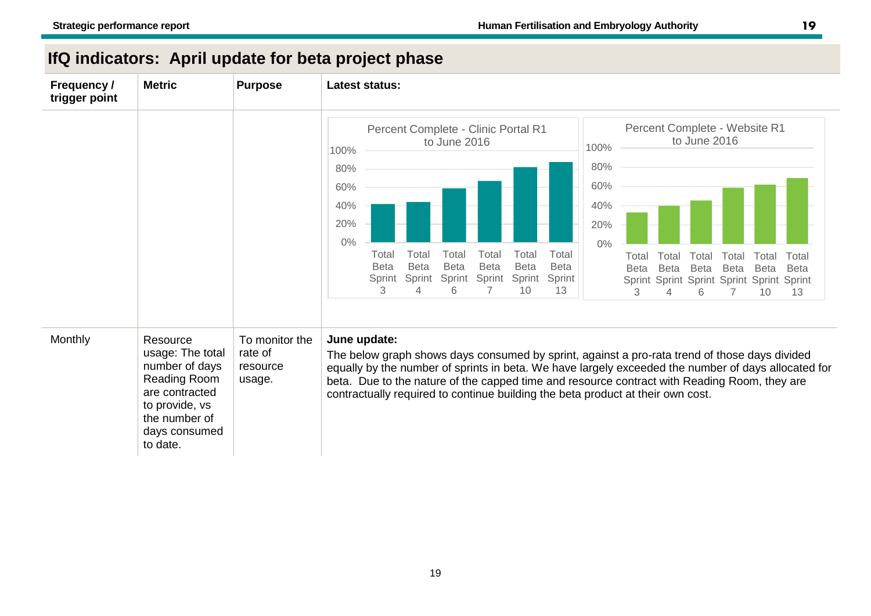| <b>Frequency /</b><br>trigger point | <b>Metric</b>                                                                                                                                           | <b>Purpose</b>                                  | <b>Latest status:</b>                                                                                                                                                                                                                                                                                                                                                                                                                                                                                                                                                                                                                                            |
|-------------------------------------|---------------------------------------------------------------------------------------------------------------------------------------------------------|-------------------------------------------------|------------------------------------------------------------------------------------------------------------------------------------------------------------------------------------------------------------------------------------------------------------------------------------------------------------------------------------------------------------------------------------------------------------------------------------------------------------------------------------------------------------------------------------------------------------------------------------------------------------------------------------------------------------------|
|                                     |                                                                                                                                                         |                                                 | Percent Complete - Website R1<br>Percent Complete - Clinic Portal R1<br>to June 2016<br>to June 2016<br>100%<br>100%<br>80%<br>80%<br>60%<br>60%<br>40%<br>40%<br>20%<br>20%<br>0%<br>$0\%$<br>Total<br>Total<br>Total<br>Total<br>Total<br>Total<br>Total<br>Total<br>Total<br>Total<br>Total<br>Total<br><b>Beta</b><br><b>Beta</b><br><b>Beta</b><br><b>Beta</b><br><b>Beta</b><br><b>Beta</b><br><b>Beta</b><br>Beta<br><b>Beta</b><br><b>Beta</b><br><b>Beta</b><br><b>Beta</b><br>Sprint<br>Sprint<br>Sprint<br>Sprint<br>Sprint<br>Sprint<br>Sprint Sprint Sprint Sprint Sprint Sprint<br>3.<br>6<br>7<br>10<br>13<br>4<br>3<br>6<br>13<br>10<br>$\Delta$ |
| Monthly                             | Resource<br>usage: The total<br>number of days<br><b>Reading Room</b><br>are contracted<br>to provide, vs<br>the number of<br>days consumed<br>to date. | To monitor the<br>rate of<br>resource<br>usage. | June update:<br>The below graph shows days consumed by sprint, against a pro-rata trend of those days divided<br>equally by the number of sprints in beta. We have largely exceeded the number of days allocated for<br>beta. Due to the nature of the capped time and resource contract with Reading Room, they are<br>contractually required to continue building the beta product at their own cost.                                                                                                                                                                                                                                                          |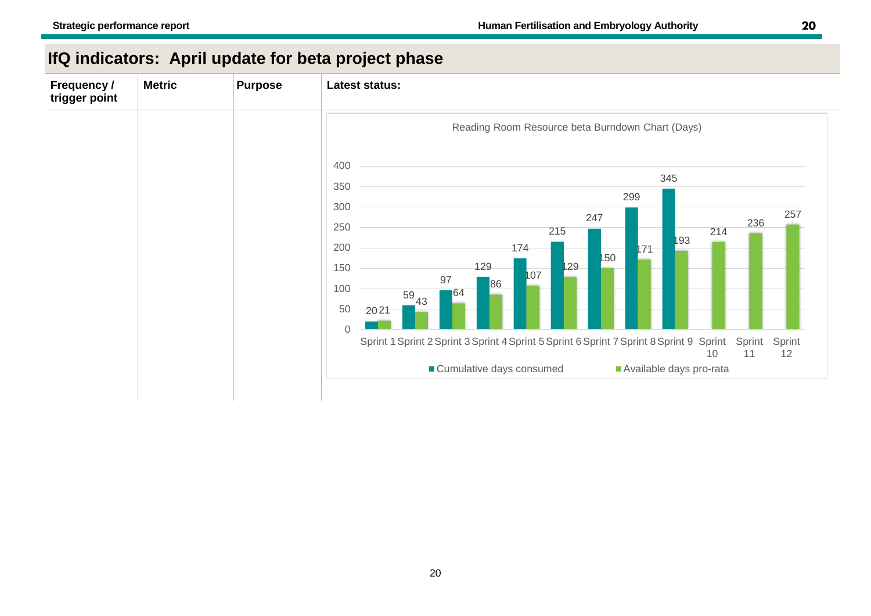| <b>Frequency /</b><br>trigger point | <b>Metric</b> | <b>Purpose</b> | Latest status:                                                                                                                                                                                                                                                                                                                                                                                        |
|-------------------------------------|---------------|----------------|-------------------------------------------------------------------------------------------------------------------------------------------------------------------------------------------------------------------------------------------------------------------------------------------------------------------------------------------------------------------------------------------------------|
|                                     |               |                | Reading Room Resource beta Burndown Chart (Days)<br>400                                                                                                                                                                                                                                                                                                                                               |
|                                     |               |                | 345<br>350<br>299<br>300<br>257<br>247<br>236<br>250<br>214<br>215<br>193<br>200<br>174<br>171<br>150<br>129<br>129<br>150<br>107<br>97<br>86<br>100<br> 64 <br>$rac{59}{1}43$<br>50<br>2021<br>$\mathbf 0$<br>Sprint 1 Sprint 2 Sprint 3 Sprint 4 Sprint 5 Sprint 6 Sprint 7 Sprint 8 Sprint 9 Sprint<br>Sprint<br>Sprint<br>12<br>11<br>10<br>■ Cumulative days consumed<br>Available days pro-rata |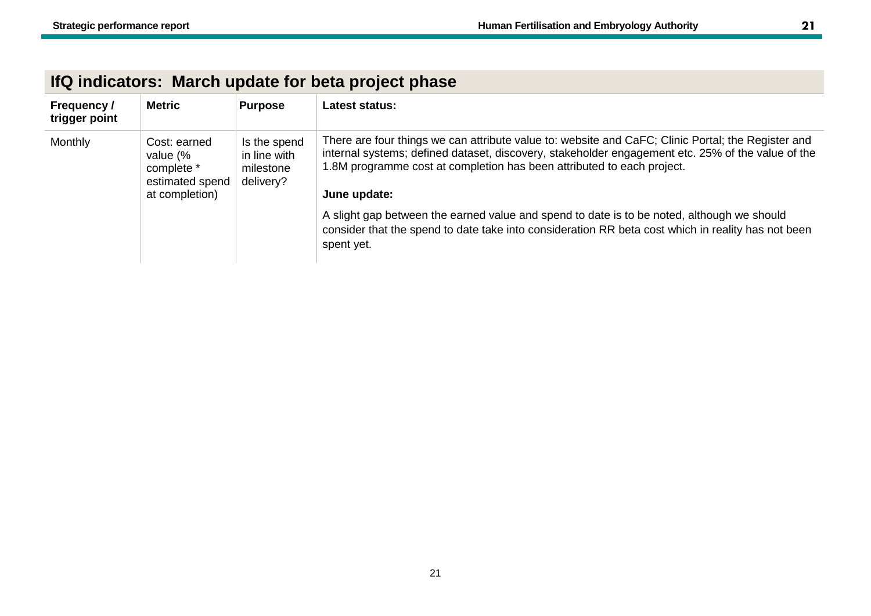| Frequency /<br>trigger point | <b>Metric</b>                                                               | <b>Purpose</b>                                         | Latest status:                                                                                                                                                                                                                                                                                    |
|------------------------------|-----------------------------------------------------------------------------|--------------------------------------------------------|---------------------------------------------------------------------------------------------------------------------------------------------------------------------------------------------------------------------------------------------------------------------------------------------------|
| Monthly                      | Cost: earned<br>value (%<br>complete *<br>estimated spend<br>at completion) | Is the spend<br>in line with<br>milestone<br>delivery? | There are four things we can attribute value to: website and CaFC; Clinic Portal; the Register and<br>internal systems; defined dataset, discovery, stakeholder engagement etc. 25% of the value of the<br>1.8M programme cost at completion has been attributed to each project.<br>June update: |
|                              |                                                                             |                                                        | A slight gap between the earned value and spend to date is to be noted, although we should<br>consider that the spend to date take into consideration RR beta cost which in reality has not been<br>spent yet.                                                                                    |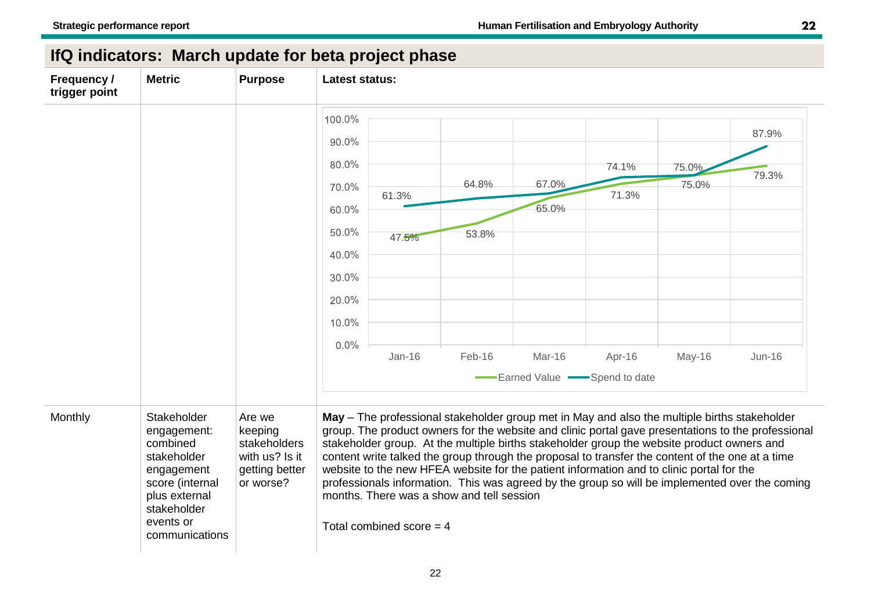| Frequency /<br>trigger point | <b>Metric</b>                                                                                                                                         | <b>Purpose</b>                                                                     | <b>Latest status:</b>                                                                                                                                                                                                                                                                                                                                                                                                                                                                                                                                                                                                                                                         |  |
|------------------------------|-------------------------------------------------------------------------------------------------------------------------------------------------------|------------------------------------------------------------------------------------|-------------------------------------------------------------------------------------------------------------------------------------------------------------------------------------------------------------------------------------------------------------------------------------------------------------------------------------------------------------------------------------------------------------------------------------------------------------------------------------------------------------------------------------------------------------------------------------------------------------------------------------------------------------------------------|--|
|                              |                                                                                                                                                       |                                                                                    | 100.0%<br>87.9%                                                                                                                                                                                                                                                                                                                                                                                                                                                                                                                                                                                                                                                               |  |
|                              |                                                                                                                                                       |                                                                                    | 90.0%<br>80.0%<br>74.1%<br>75.0%<br>79.3%<br>64.8%<br>67.0%<br>75.0%<br>70.0%<br>71.3%<br>61.3%<br>65.0%<br>60.0%<br>50.0%<br>53.8%<br>47.5%                                                                                                                                                                                                                                                                                                                                                                                                                                                                                                                                  |  |
|                              |                                                                                                                                                       |                                                                                    | 40.0%<br>30.0%<br>20.0%<br>10.0%<br>0.0%<br>$Jan-16$<br>Feb-16<br>Mar-16<br>Apr-16<br>May-16<br>$Jun-16$                                                                                                                                                                                                                                                                                                                                                                                                                                                                                                                                                                      |  |
|                              |                                                                                                                                                       |                                                                                    | Earned Value Spend to date                                                                                                                                                                                                                                                                                                                                                                                                                                                                                                                                                                                                                                                    |  |
| Monthly                      | Stakeholder<br>engagement:<br>combined<br>stakeholder<br>engagement<br>score (internal<br>plus external<br>stakeholder<br>events or<br>communications | Are we<br>keeping<br>stakeholders<br>with us? Is it<br>getting better<br>or worse? | May - The professional stakeholder group met in May and also the multiple births stakeholder<br>group. The product owners for the website and clinic portal gave presentations to the professional<br>stakeholder group. At the multiple births stakeholder group the website product owners and<br>content write talked the group through the proposal to transfer the content of the one at a time<br>website to the new HFEA website for the patient information and to clinic portal for the<br>professionals information. This was agreed by the group so will be implemented over the coming<br>months. There was a show and tell session<br>Total combined score $=$ 4 |  |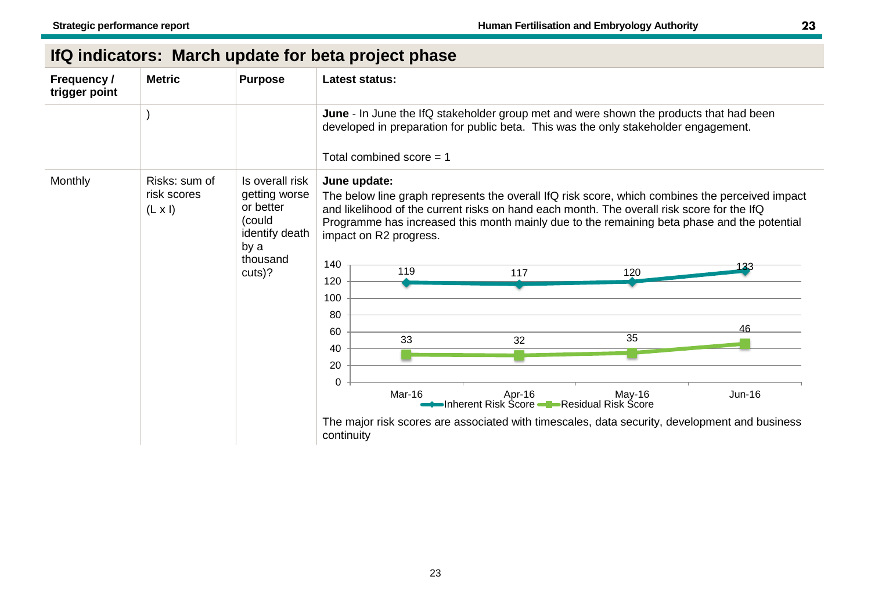| Frequency /<br>trigger point | <b>Metric</b>                                  | <b>Purpose</b>                                                                                          | <b>Latest status:</b>                                                                                                                                                                                                                                                                                                                                                                  |
|------------------------------|------------------------------------------------|---------------------------------------------------------------------------------------------------------|----------------------------------------------------------------------------------------------------------------------------------------------------------------------------------------------------------------------------------------------------------------------------------------------------------------------------------------------------------------------------------------|
|                              |                                                |                                                                                                         | June - In June the IfQ stakeholder group met and were shown the products that had been<br>developed in preparation for public beta. This was the only stakeholder engagement.<br>Total combined score $= 1$                                                                                                                                                                            |
| Monthly                      | Risks: sum of<br>risk scores<br>$(L \times I)$ | Is overall risk<br>getting worse<br>or better<br>(could<br>identify death<br>by a<br>thousand<br>cuts)? | June update:<br>The below line graph represents the overall IfQ risk score, which combines the perceived impact<br>and likelihood of the current risks on hand each month. The overall risk score for the IfQ<br>Programme has increased this month mainly due to the remaining beta phase and the potential<br>impact on R2 progress.<br>140<br>119<br>120<br>117<br>120<br>100<br>80 |
|                              |                                                |                                                                                                         | 46<br>60<br>35<br>33<br>32<br>40<br>20<br>0<br>Mar-16<br>Apr-16<br>$May-16$<br>Jun-16<br>•Inherent Risk Score ——Residual Risk Score                                                                                                                                                                                                                                                    |